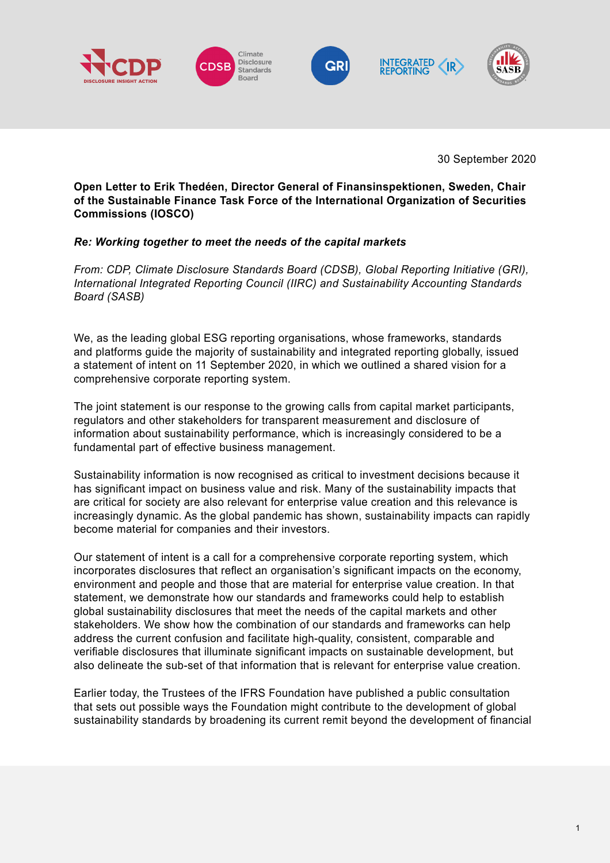





30 September 2020

**Open Letter to Erik Thedéen, Director General of Finansinspektionen, Sweden, Chair of the Sustainable Finance Task Force of the International Organization of Securities Commissions (IOSCO)**

## *Re: Working together to meet the needs of the capital markets*

*From: CDP, Climate Disclosure Standards Board (CDSB), Global Reporting Initiative (GRI), International Integrated Reporting Council (IIRC) and Sustainability Accounting Standards Board (SASB)*

We, as the leading global ESG reporting organisations, whose frameworks, standards and platforms guide the majority of sustainability and integrated reporting globally, issued a statement of intent on 11 September 2020, in which we outlined a shared vision for a comprehensive corporate reporting system.

The joint statement is our response to the growing calls from capital market participants, regulators and other stakeholders for transparent measurement and disclosure of information about sustainability performance, which is increasingly considered to be a fundamental part of effective business management.

Sustainability information is now recognised as critical to investment decisions because it has significant impact on business value and risk. Many of the sustainability impacts that are critical for society are also relevant for enterprise value creation and this relevance is increasingly dynamic. As the global pandemic has shown, sustainability impacts can rapidly become material for companies and their investors.

Our statement of intent is a call for a comprehensive corporate reporting system, which incorporates disclosures that reflect an organisation's significant impacts on the economy, environment and people and those that are material for enterprise value creation. In that statement, we demonstrate how our standards and frameworks could help to establish global sustainability disclosures that meet the needs of the capital markets and other stakeholders. We show how the combination of our standards and frameworks can help address the current confusion and facilitate high-quality, consistent, comparable and verifiable disclosures that illuminate significant impacts on sustainable development, but also delineate the sub-set of that information that is relevant for enterprise value creation.

Earlier today, the Trustees of the IFRS Foundation have published a public consultation that sets out possible ways the Foundation might contribute to the development of global sustainability standards by broadening its current remit beyond the development of financial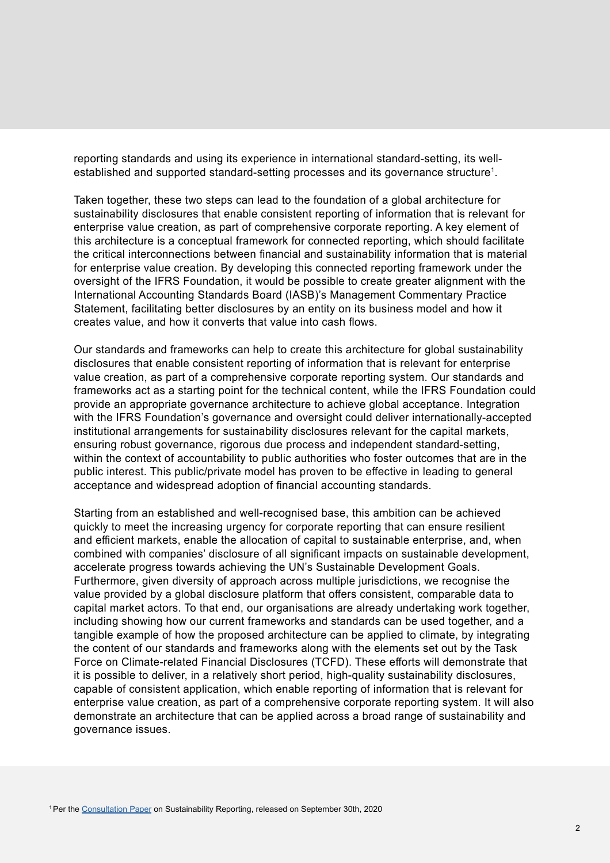reporting standards and using its experience in international standard-setting, its wellestablished and supported standard-setting processes and its governance structure<sup>1</sup>.

Taken together, these two steps can lead to the foundation of a global architecture for sustainability disclosures that enable consistent reporting of information that is relevant for enterprise value creation, as part of comprehensive corporate reporting. A key element of this architecture is a conceptual framework for connected reporting, which should facilitate the critical interconnections between financial and sustainability information that is material for enterprise value creation. By developing this connected reporting framework under the oversight of the IFRS Foundation, it would be possible to create greater alignment with the International Accounting Standards Board (IASB)'s Management Commentary Practice Statement, facilitating better disclosures by an entity on its business model and how it creates value, and how it converts that value into cash flows.

Our standards and frameworks can help to create this architecture for global sustainability disclosures that enable consistent reporting of information that is relevant for enterprise value creation, as part of a comprehensive corporate reporting system. Our standards and frameworks act as a starting point for the technical content, while the IFRS Foundation could provide an appropriate governance architecture to achieve global acceptance. Integration with the IFRS Foundation's governance and oversight could deliver internationally-accepted institutional arrangements for sustainability disclosures relevant for the capital markets, ensuring robust governance, rigorous due process and independent standard-setting, within the context of accountability to public authorities who foster outcomes that are in the public interest. This public/private model has proven to be effective in leading to general acceptance and widespread adoption of financial accounting standards.

Starting from an established and well-recognised base, this ambition can be achieved quickly to meet the increasing urgency for corporate reporting that can ensure resilient and efficient markets, enable the allocation of capital to sustainable enterprise, and, when combined with companies' disclosure of all significant impacts on sustainable development, accelerate progress towards achieving the UN's Sustainable Development Goals. Furthermore, given diversity of approach across multiple jurisdictions, we recognise the value provided by a global disclosure platform that offers consistent, comparable data to capital market actors. To that end, our organisations are already undertaking work together, including showing how our current frameworks and standards can be used together, and a tangible example of how the proposed architecture can be applied to climate, by integrating the content of our standards and frameworks along with the elements set out by the Task Force on Climate-related Financial Disclosures (TCFD). These efforts will demonstrate that it is possible to deliver, in a relatively short period, high-quality sustainability disclosures, capable of consistent application, which enable reporting of information that is relevant for enterprise value creation, as part of a comprehensive corporate reporting system. It will also demonstrate an architecture that can be applied across a broad range of sustainability and governance issues.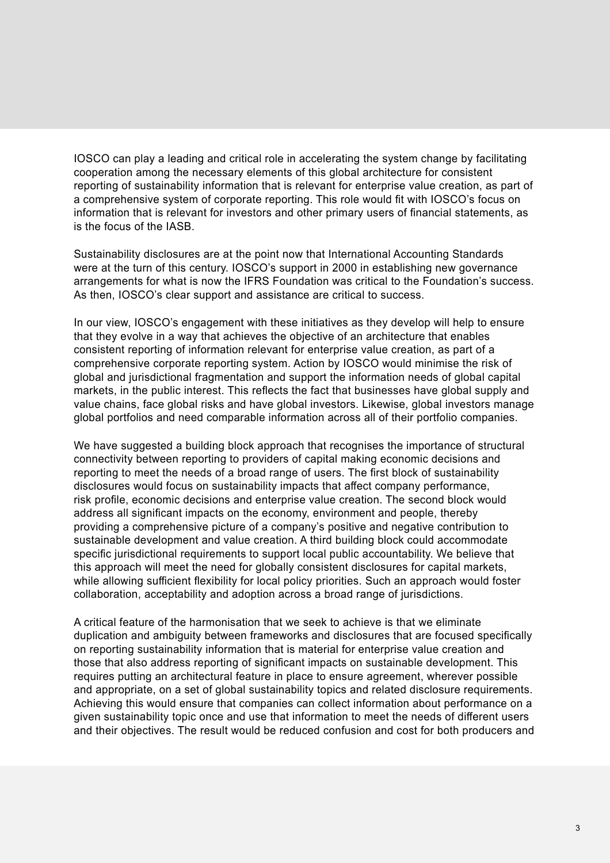IOSCO can play a leading and critical role in accelerating the system change by facilitating cooperation among the necessary elements of this global architecture for consistent reporting of sustainability information that is relevant for enterprise value creation, as part of a comprehensive system of corporate reporting. This role would fit with IOSCO's focus on information that is relevant for investors and other primary users of financial statements, as is the focus of the IASB.

Sustainability disclosures are at the point now that International Accounting Standards were at the turn of this century. IOSCO's support in 2000 in establishing new governance arrangements for what is now the IFRS Foundation was critical to the Foundation's success. As then, IOSCO's clear support and assistance are critical to success.

In our view, IOSCO's engagement with these initiatives as they develop will help to ensure that they evolve in a way that achieves the objective of an architecture that enables consistent reporting of information relevant for enterprise value creation, as part of a comprehensive corporate reporting system. Action by IOSCO would minimise the risk of global and jurisdictional fragmentation and support the information needs of global capital markets, in the public interest. This reflects the fact that businesses have global supply and value chains, face global risks and have global investors. Likewise, global investors manage global portfolios and need comparable information across all of their portfolio companies.

We have suggested a building block approach that recognises the importance of structural connectivity between reporting to providers of capital making economic decisions and reporting to meet the needs of a broad range of users. The first block of sustainability disclosures would focus on sustainability impacts that affect company performance, risk profile, economic decisions and enterprise value creation. The second block would address all significant impacts on the economy, environment and people, thereby providing a comprehensive picture of a company's positive and negative contribution to sustainable development and value creation. A third building block could accommodate specific jurisdictional requirements to support local public accountability. We believe that this approach will meet the need for globally consistent disclosures for capital markets, while allowing sufficient flexibility for local policy priorities. Such an approach would foster collaboration, acceptability and adoption across a broad range of jurisdictions.

A critical feature of the harmonisation that we seek to achieve is that we eliminate duplication and ambiguity between frameworks and disclosures that are focused specifically on reporting sustainability information that is material for enterprise value creation and those that also address reporting of significant impacts on sustainable development. This requires putting an architectural feature in place to ensure agreement, wherever possible and appropriate, on a set of global sustainability topics and related disclosure requirements. Achieving this would ensure that companies can collect information about performance on a given sustainability topic once and use that information to meet the needs of different users and their objectives. The result would be reduced confusion and cost for both producers and